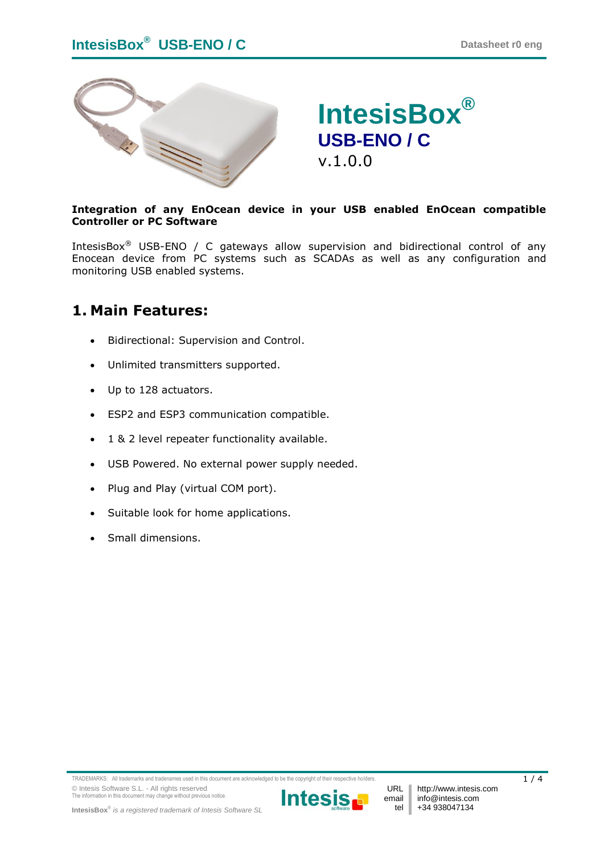

# **IntesisBox® USB-ENO / C** v.1.0.0

#### **Integration of any EnOcean device in your USB enabled EnOcean compatible Controller or PC Software**

IntesisBox<sup>®</sup> USB-ENO / C gateways allow supervision and bidirectional control of any Enocean device from PC systems such as SCADAs as well as any configuration and monitoring USB enabled systems.

### **1. Main Features:**

- Bidirectional: Supervision and Control.
- Unlimited transmitters supported.
- Up to 128 actuators.
- ESP2 and ESP3 communication compatible.
- 1 & 2 level repeater functionality available.
- USB Powered. No external power supply needed.
- Plug and Play (virtual COM port).
- Suitable look for home applications.
- Small dimensions.



URL email tel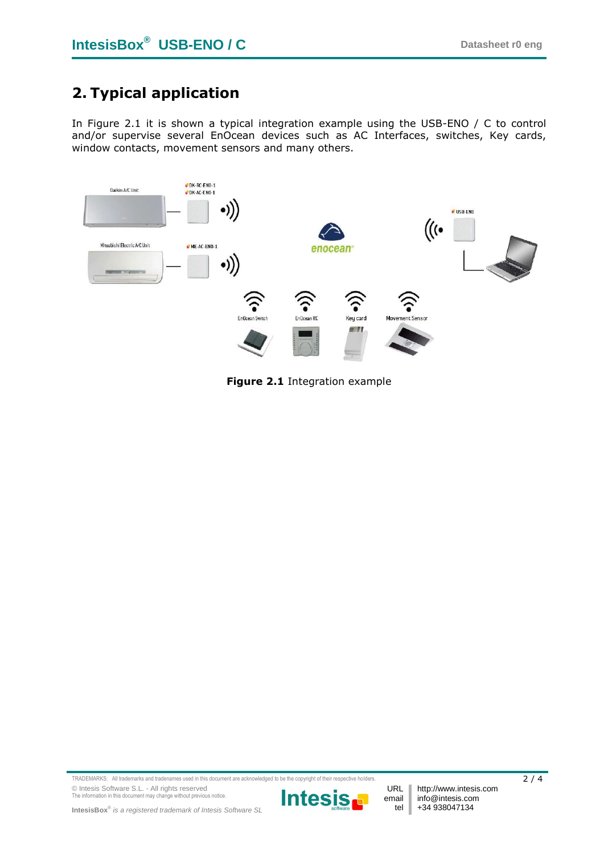## **2. Typical application**

In [Figure 2.1](#page-1-0) it is shown a typical integration example using the USB-ENO / C to control and/or supervise several EnOcean devices such as AC Interfaces, switches, Key cards, window contacts, movement sensors and many others.



<span id="page-1-0"></span>**Figure 2.1** Integration example

TRADEMARKS: All trademarks and tradenames used in this document are acknowledged to be the copyright of their respective holders. 2 / 4 © Intesis Software S.L. - All rights reserved The information in this document may change without previous notice.



http://www.intesis.com info@intesis.com +34 938047134

URL email tel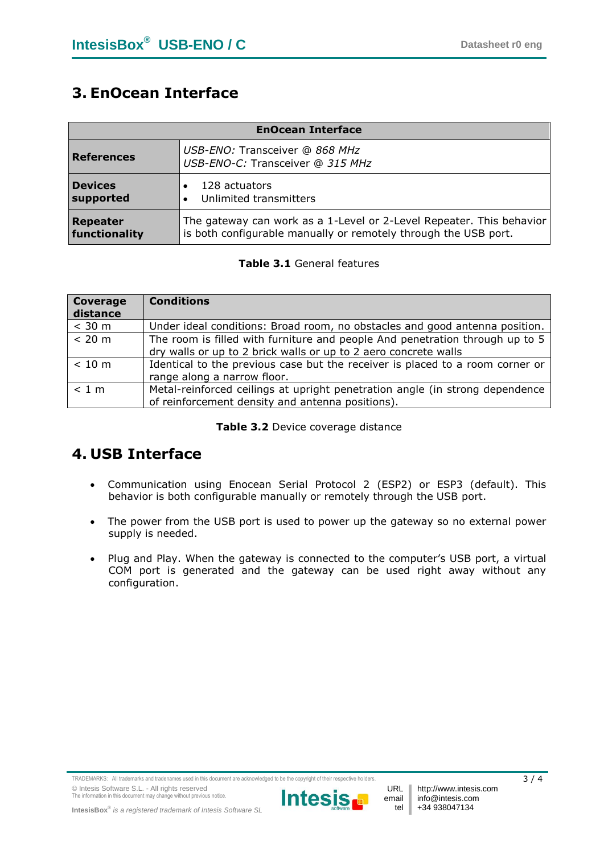### **3. EnOcean Interface**

| <b>EnOcean Interface</b> |                                                                      |
|--------------------------|----------------------------------------------------------------------|
| <b>References</b>        | USB-ENO: Transceiver @ 868 MHz<br>USB-ENO-C: Transceiver @ 315 MHz   |
| <b>Devices</b>           | 128 actuators                                                        |
| supported                | Unlimited transmitters                                               |
| Repeater                 | The gateway can work as a 1-Level or 2-Level Repeater. This behavior |
| functionality            | is both configurable manually or remotely through the USB port.      |

#### **Table 3.1** General features

| Coverage<br>distance | <b>Conditions</b>                                                                                                                               |
|----------------------|-------------------------------------------------------------------------------------------------------------------------------------------------|
| $<$ 30 m             | Under ideal conditions: Broad room, no obstacles and good antenna position.                                                                     |
| < 20 m               | The room is filled with furniture and people And penetration through up to 5<br>dry walls or up to 2 brick walls or up to 2 aero concrete walls |
| < 10 m               | Identical to the previous case but the receiver is placed to a room corner or<br>range along a narrow floor.                                    |
| < 1 m                | Metal-reinforced ceilings at upright penetration angle (in strong dependence<br>of reinforcement density and antenna positions).                |

#### **Table 3.2** Device coverage distance

### **4. USB Interface**

- Communication using Enocean Serial Protocol 2 (ESP2) or ESP3 (default). This behavior is both configurable manually or remotely through the USB port.
- The power from the USB port is used to power up the gateway so no external power supply is needed.
- Plug and Play. When the gateway is connected to the computer's USB port, a virtual COM port is generated and the gateway can be used right away without any configuration.



URL email tel